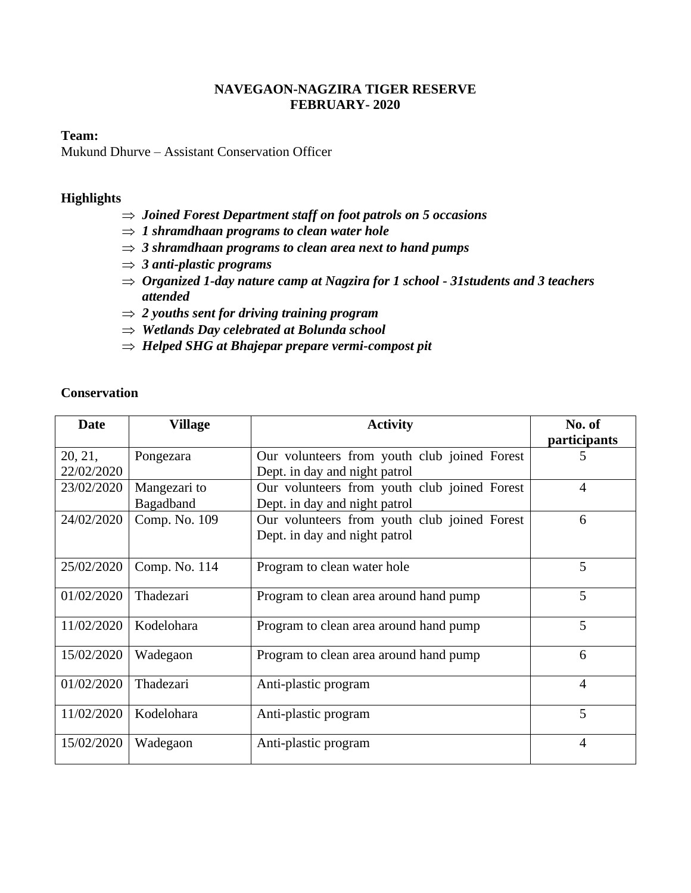### **NAVEGAON-NAGZIRA TIGER RESERVE FEBRUARY- 2020**

#### **Team:**

Mukund Dhurve – Assistant Conservation Officer

#### **Highlights**

- *Joined Forest Department staff on foot patrols on 5 occasions*
- $\Rightarrow$  1 shramdhaan programs to clean water hole
- *3 shramdhaan programs to clean area next to hand pumps*
- *3 anti-plastic programs*
- *Organized 1-day nature camp at Nagzira for 1 school - 31students and 3 teachers attended*
- *2 youths sent for driving training program*
- *Wetlands Day celebrated at Bolunda school*
- *Helped SHG at Bhajepar prepare vermi-compost pit*

| <b>Conservation</b> |
|---------------------|
|---------------------|

| Date       | <b>Village</b> | <b>Activity</b>                              | No. of         |
|------------|----------------|----------------------------------------------|----------------|
|            |                |                                              | participants   |
| 20, 21,    | Pongezara      | Our volunteers from youth club joined Forest | 5              |
| 22/02/2020 |                | Dept. in day and night patrol                |                |
| 23/02/2020 | Mangezari to   | Our volunteers from youth club joined Forest | $\overline{4}$ |
|            | Bagadband      | Dept. in day and night patrol                |                |
| 24/02/2020 | Comp. No. 109  | Our volunteers from youth club joined Forest | 6              |
|            |                | Dept. in day and night patrol                |                |
|            |                |                                              |                |
| 25/02/2020 | Comp. No. 114  | Program to clean water hole                  | 5              |
| 01/02/2020 | Thadezari      | Program to clean area around hand pump       | 5              |
|            |                |                                              |                |
| 11/02/2020 | Kodelohara     | Program to clean area around hand pump       | 5              |
| 15/02/2020 | Wadegaon       | Program to clean area around hand pump       | 6              |
|            |                |                                              |                |
| 01/02/2020 | Thadezari      | Anti-plastic program                         | $\overline{4}$ |
|            |                |                                              |                |
| 11/02/2020 | Kodelohara     | Anti-plastic program                         | 5              |
| 15/02/2020 | Wadegaon       | Anti-plastic program                         | $\overline{4}$ |
|            |                |                                              |                |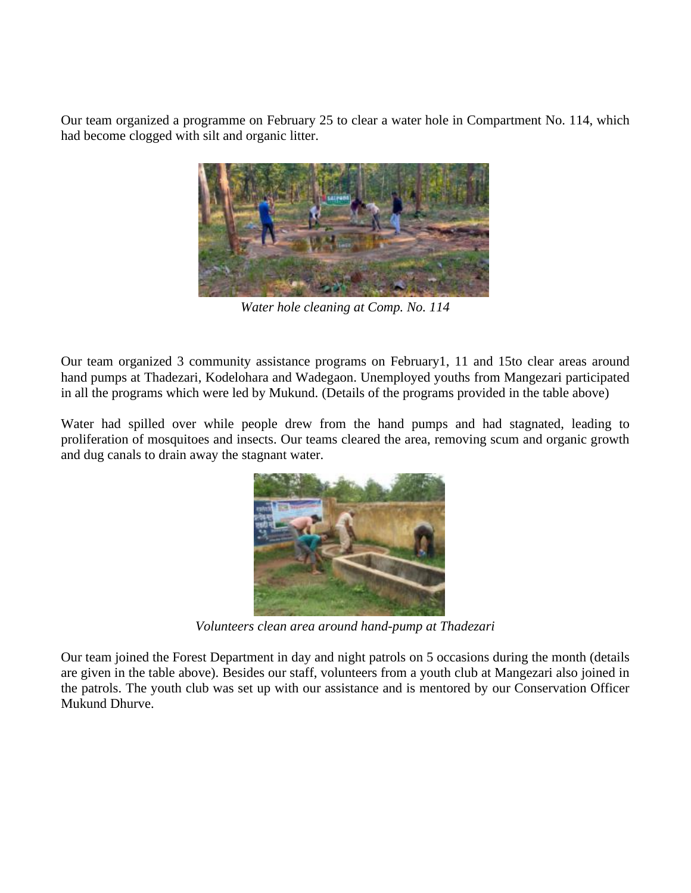Our team organized a programme on February 25 to clear a water hole in Compartment No. 114, which had become clogged with silt and organic litter.



*Water hole cleaning at Comp. No. 114*

Our team organized 3 community assistance programs on February1, 11 and 15to clear areas around hand pumps at Thadezari, Kodelohara and Wadegaon. Unemployed youths from Mangezari participated in all the programs which were led by Mukund. (Details of the programs provided in the table above)

Water had spilled over while people drew from the hand pumps and had stagnated, leading to proliferation of mosquitoes and insects. Our teams cleared the area, removing scum and organic growth and dug canals to drain away the stagnant water.



*Volunteers clean area around hand-pump at Thadezari*

Our team joined the Forest Department in day and night patrols on 5 occasions during the month (details are given in the table above). Besides our staff, volunteers from a youth club at Mangezari also joined in the patrols. The youth club was set up with our assistance and is mentored by our Conservation Officer Mukund Dhurve.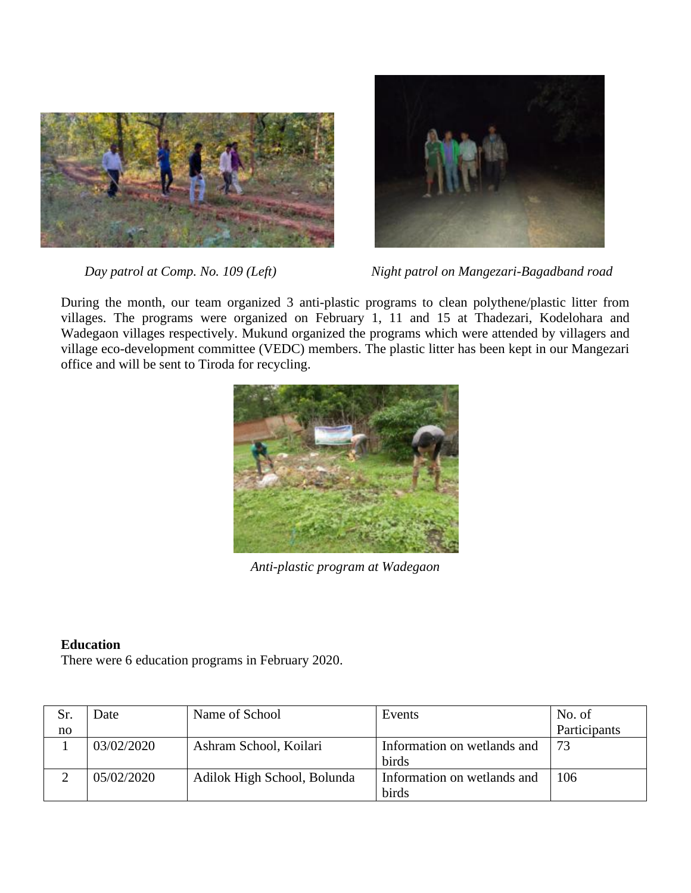



*Day patrol at Comp. No. 109 (Left)* Night patrol on Mangezari-Bagadband road

During the month, our team organized 3 anti-plastic programs to clean polythene/plastic litter from villages. The programs were organized on February 1, 11 and 15 at Thadezari, Kodelohara and Wadegaon villages respectively. Mukund organized the programs which were attended by villagers and village eco-development committee (VEDC) members. The plastic litter has been kept in our Mangezari office and will be sent to Tiroda for recycling.



*Anti-plastic program at Wadegaon*

# **Education**

There were 6 education programs in February 2020.

| Sr. | Date       | Name of School              | Events                               | No. of       |
|-----|------------|-----------------------------|--------------------------------------|--------------|
| no  |            |                             |                                      | Participants |
|     | 03/02/2020 | Ashram School, Koilari      | Information on wetlands and<br>birds | 73           |
|     | 05/02/2020 | Adilok High School, Bolunda | Information on wetlands and<br>birds | 106          |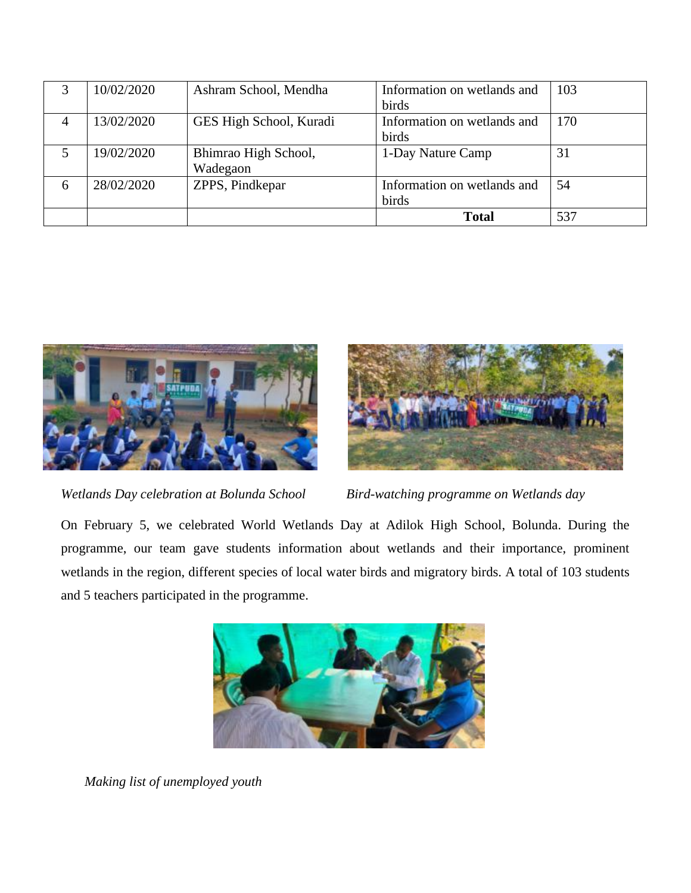|                | 10/02/2020 | Ashram School, Mendha   | Information on wetlands and | 103 |
|----------------|------------|-------------------------|-----------------------------|-----|
|                |            |                         | birds                       |     |
| $\overline{4}$ | 13/02/2020 | GES High School, Kuradi | Information on wetlands and | 170 |
|                |            |                         | birds                       |     |
|                | 19/02/2020 | Bhimrao High School,    | 1-Day Nature Camp           | 31  |
|                |            | Wadegaon                |                             |     |
| 6              | 28/02/2020 | ZPPS, Pindkepar         | Information on wetlands and | 54  |
|                |            |                         | birds                       |     |
|                |            |                         | <b>Total</b>                | 537 |



*Wetlands Day celebration at Bolunda School Bird-watching programme on Wetlands day*



On February 5, we celebrated World Wetlands Day at Adilok High School, Bolunda. During the programme, our team gave students information about wetlands and their importance, prominent wetlands in the region, different species of local water birds and migratory birds. A total of 103 students and 5 teachers participated in the programme.



 *Making list of unemployed youth*